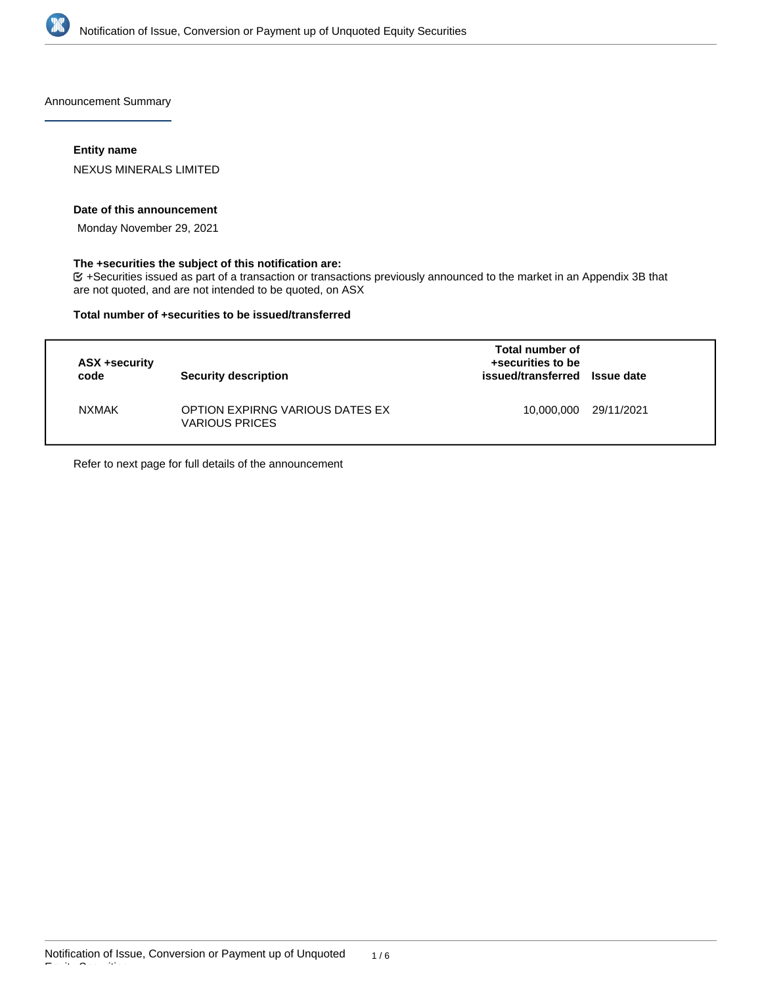

Announcement Summary

# **Entity name**

NEXUS MINERALS LIMITED

#### **Date of this announcement**

Monday November 29, 2021

# **The +securities the subject of this notification are:**

+Securities issued as part of a transaction or transactions previously announced to the market in an Appendix 3B that are not quoted, and are not intended to be quoted, on ASX

#### **Total number of +securities to be issued/transferred**

| ASX +security<br>code | <b>Security description</b>                              | Total number of<br>+securities to be<br>issued/transferred Issue date |            |
|-----------------------|----------------------------------------------------------|-----------------------------------------------------------------------|------------|
| <b>NXMAK</b>          | OPTION EXPIRNG VARIOUS DATES EX<br><b>VARIOUS PRICES</b> | 10,000,000                                                            | 29/11/2021 |

Refer to next page for full details of the announcement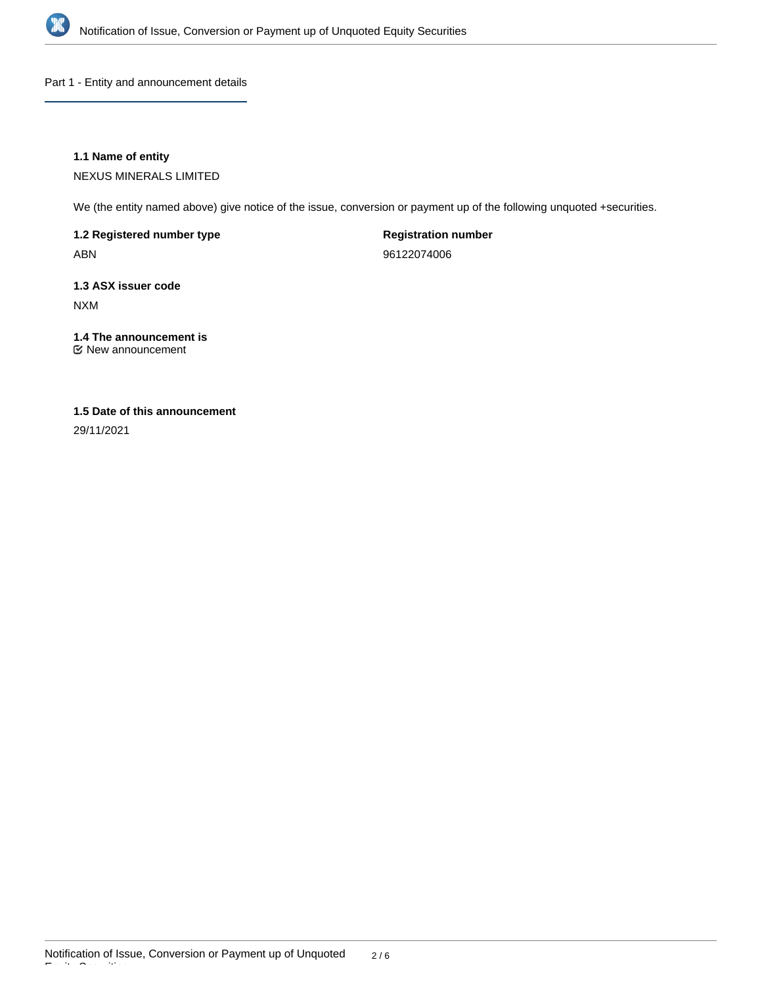

Part 1 - Entity and announcement details

# **1.1 Name of entity**

NEXUS MINERALS LIMITED

We (the entity named above) give notice of the issue, conversion or payment up of the following unquoted +securities.

**1.2 Registered number type** ABN

**Registration number** 96122074006

**1.3 ASX issuer code** NXM

# **1.4 The announcement is**

New announcement

# **1.5 Date of this announcement**

29/11/2021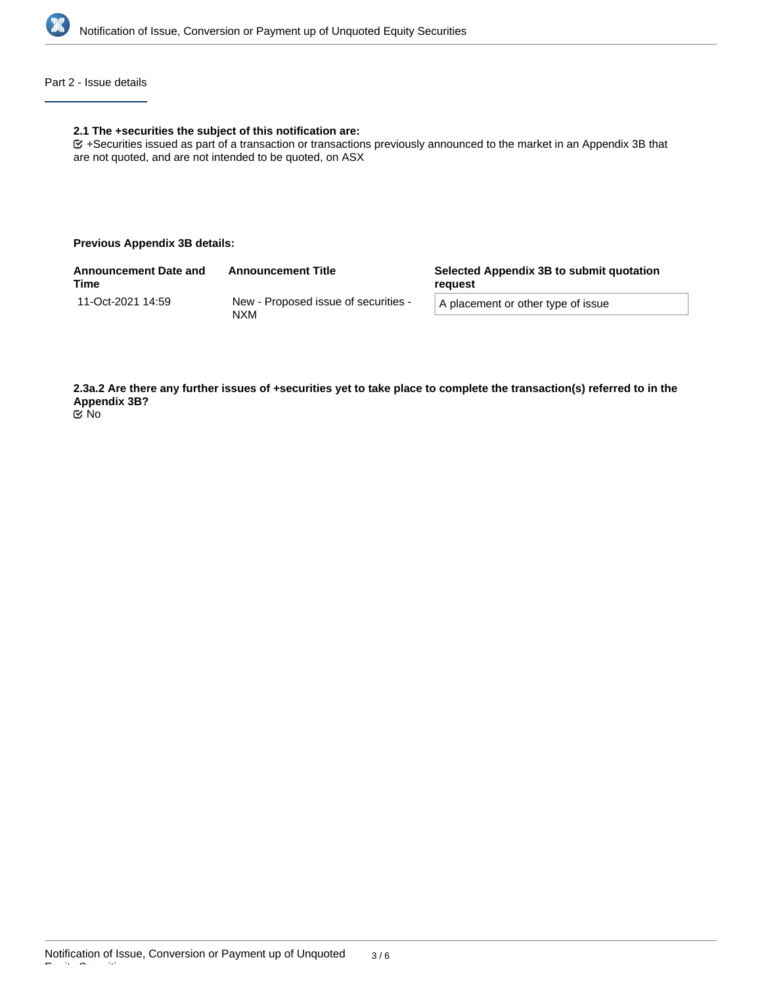

# Part 2 - Issue details

#### **2.1 The +securities the subject of this notification are:**

+Securities issued as part of a transaction or transactions previously announced to the market in an Appendix 3B that are not quoted, and are not intended to be quoted, on ASX

#### **Previous Appendix 3B details:**

| <b>Announcement Date and</b><br>Time | <b>Announcement Title</b>                    | Selected Appendix 3B to submit quotation<br>reauest |  |
|--------------------------------------|----------------------------------------------|-----------------------------------------------------|--|
| 11-Oct-2021 14:59                    | New - Proposed issue of securities -<br>NXM. | A placement or other type of issue                  |  |
|                                      |                                              |                                                     |  |

**2.3a.2 Are there any further issues of +securities yet to take place to complete the transaction(s) referred to in the Appendix 3B?** No

Equity Securities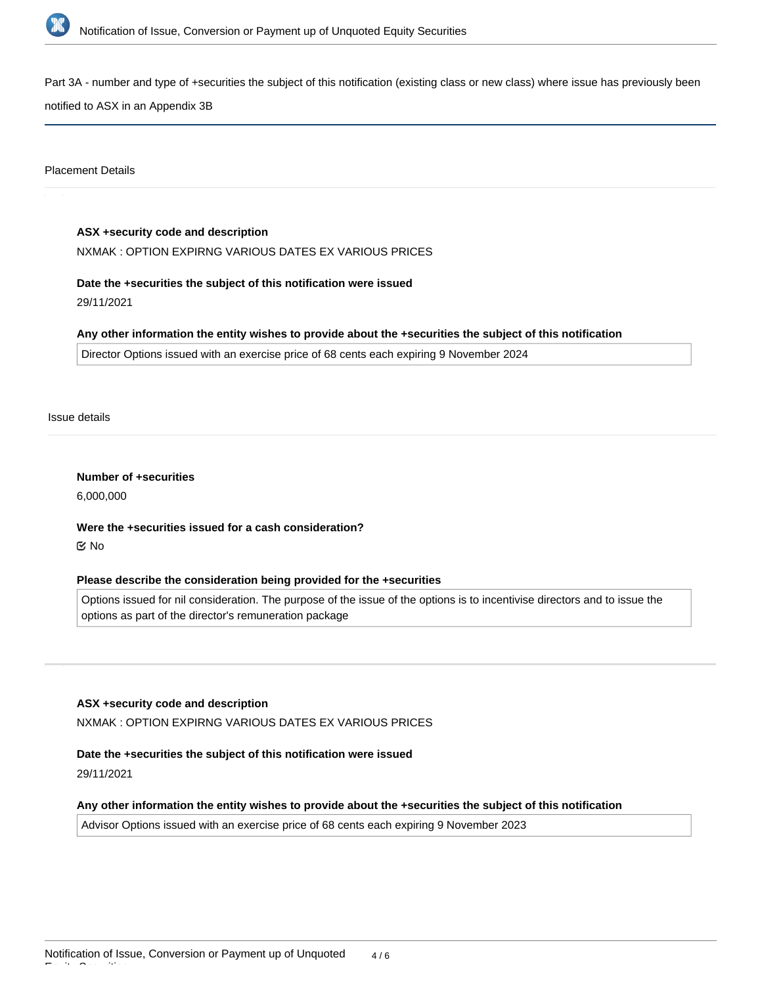

Part 3A - number and type of +securities the subject of this notification (existing class or new class) where issue has previously been

notified to ASX in an Appendix 3B

Placement Details

# **ASX +security code and description**

NXMAK : OPTION EXPIRNG VARIOUS DATES EX VARIOUS PRICES

# **Date the +securities the subject of this notification were issued**

29/11/2021

#### **Any other information the entity wishes to provide about the +securities the subject of this notification**

Director Options issued with an exercise price of 68 cents each expiring 9 November 2024

Issue details

**Number of +securities** 6,000,000

**Were the +securities issued for a cash consideration?** No

# **Please describe the consideration being provided for the +securities**

Options issued for nil consideration. The purpose of the issue of the options is to incentivise directors and to issue the options as part of the director's remuneration package

#### **ASX +security code and description**

NXMAK : OPTION EXPIRNG VARIOUS DATES EX VARIOUS PRICES

# **Date the +securities the subject of this notification were issued**

29/11/2021

#### **Any other information the entity wishes to provide about the +securities the subject of this notification**

Advisor Options issued with an exercise price of 68 cents each expiring 9 November 2023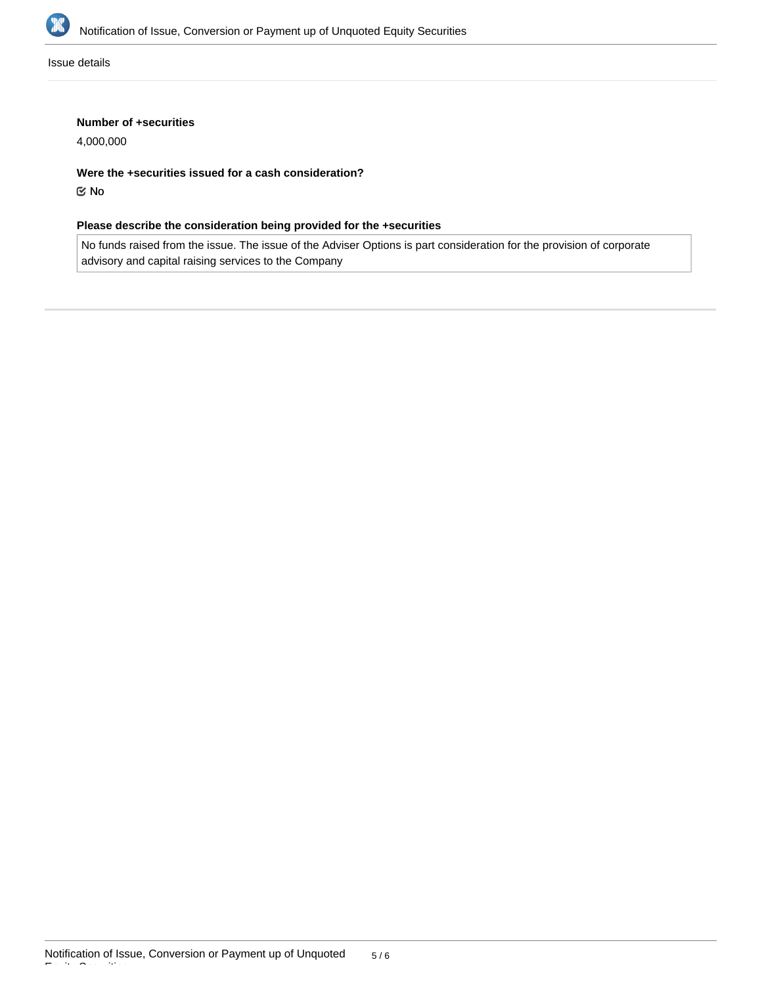

Issue details

# **Number of +securities**

4,000,000

**Were the +securities issued for a cash consideration?**

No

# **Please describe the consideration being provided for the +securities**

No funds raised from the issue. The issue of the Adviser Options is part consideration for the provision of corporate advisory and capital raising services to the Company

Equity Securities